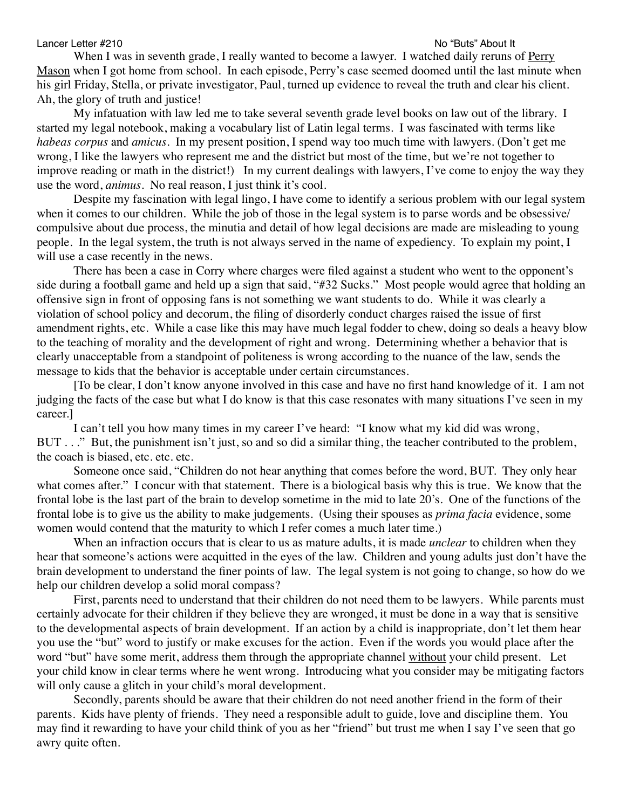## Lancer Letter #210 No "Buts" About It

When I was in seventh grade, I really wanted to become a lawyer. I watched daily reruns of Perry Mason when I got home from school. In each episode, Perry's case seemed doomed until the last minute when his girl Friday, Stella, or private investigator, Paul, turned up evidence to reveal the truth and clear his client. Ah, the glory of truth and justice!

My infatuation with law led me to take several seventh grade level books on law out of the library. I started my legal notebook, making a vocabulary list of Latin legal terms. I was fascinated with terms like *habeas corpus* and *amicus.* In my present position, I spend way too much time with lawyers. (Don't get me wrong, I like the lawyers who represent me and the district but most of the time, but we're not together to improve reading or math in the district!) In my current dealings with lawyers, I've come to enjoy the way they use the word, *animus*. No real reason, I just think it's cool.

Despite my fascination with legal lingo, I have come to identify a serious problem with our legal system when it comes to our children. While the job of those in the legal system is to parse words and be obsessive/ compulsive about due process, the minutia and detail of how legal decisions are made are misleading to young people. In the legal system, the truth is not always served in the name of expediency. To explain my point, I will use a case recently in the news.

There has been a case in Corry where charges were filed against a student who went to the opponent's side during a football game and held up a sign that said, "#32 Sucks." Most people would agree that holding an offensive sign in front of opposing fans is not something we want students to do. While it was clearly a violation of school policy and decorum, the filing of disorderly conduct charges raised the issue of first amendment rights, etc. While a case like this may have much legal fodder to chew, doing so deals a heavy blow to the teaching of morality and the development of right and wrong. Determining whether a behavior that is clearly unacceptable from a standpoint of politeness is wrong according to the nuance of the law, sends the message to kids that the behavior is acceptable under certain circumstances.

[To be clear, I don't know anyone involved in this case and have no first hand knowledge of it. I am not judging the facts of the case but what I do know is that this case resonates with many situations I've seen in my career.]

I can't tell you how many times in my career I've heard: "I know what my kid did was wrong, BUT . . ." But, the punishment isn't just, so and so did a similar thing, the teacher contributed to the problem, the coach is biased, etc. etc. etc.

Someone once said, "Children do not hear anything that comes before the word, BUT. They only hear what comes after." I concur with that statement. There is a biological basis why this is true. We know that the frontal lobe is the last part of the brain to develop sometime in the mid to late 20's. One of the functions of the frontal lobe is to give us the ability to make judgements. (Using their spouses as *prima facia* evidence, some women would contend that the maturity to which I refer comes a much later time.)

When an infraction occurs that is clear to us as mature adults, it is made *unclear* to children when they hear that someone's actions were acquitted in the eyes of the law. Children and young adults just don't have the brain development to understand the finer points of law. The legal system is not going to change, so how do we help our children develop a solid moral compass?

First, parents need to understand that their children do not need them to be lawyers. While parents must certainly advocate for their children if they believe they are wronged, it must be done in a way that is sensitive to the developmental aspects of brain development. If an action by a child is inappropriate, don't let them hear you use the "but" word to justify or make excuses for the action. Even if the words you would place after the word "but" have some merit, address them through the appropriate channel without your child present. Let your child know in clear terms where he went wrong. Introducing what you consider may be mitigating factors will only cause a glitch in your child's moral development.

Secondly, parents should be aware that their children do not need another friend in the form of their parents. Kids have plenty of friends. They need a responsible adult to guide, love and discipline them. You may find it rewarding to have your child think of you as her "friend" but trust me when I say I've seen that go awry quite often.